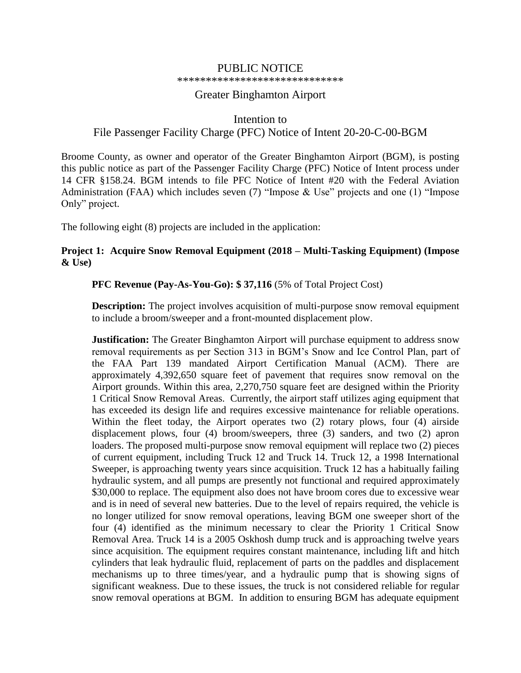# PUBLIC NOTICE

#### \*\*\*\*\*\*\*\*\*\*\*\*\*\*\*\*\*\*\*\*\*\*\*\*\*\*\*\*\*

## Greater Binghamton Airport

# Intention to File Passenger Facility Charge (PFC) Notice of Intent 20-20-C-00-BGM

Broome County, as owner and operator of the Greater Binghamton Airport (BGM), is posting this public notice as part of the Passenger Facility Charge (PFC) Notice of Intent process under 14 CFR §158.24. BGM intends to file PFC Notice of Intent #20 with the Federal Aviation Administration (FAA) which includes seven (7) "Impose & Use" projects and one (1) "Impose Only" project.

The following eight (8) projects are included in the application:

# **Project 1: Acquire Snow Removal Equipment (2018 – Multi-Tasking Equipment) (Impose & Use)**

## **PFC Revenue (Pay-As-You-Go): \$ 37,116** (5% of Total Project Cost)

**Description:** The project involves acquisition of multi-purpose snow removal equipment to include a broom/sweeper and a front-mounted displacement plow.

**Justification:** The Greater Binghamton Airport will purchase equipment to address snow removal requirements as per Section 313 in BGM's Snow and Ice Control Plan, part of the FAA Part 139 mandated Airport Certification Manual (ACM). There are approximately 4,392,650 square feet of pavement that requires snow removal on the Airport grounds. Within this area, 2,270,750 square feet are designed within the Priority 1 Critical Snow Removal Areas. Currently, the airport staff utilizes aging equipment that has exceeded its design life and requires excessive maintenance for reliable operations. Within the fleet today, the Airport operates two (2) rotary plows, four (4) airside displacement plows, four (4) broom/sweepers, three (3) sanders, and two (2) apron loaders. The proposed multi-purpose snow removal equipment will replace two (2) pieces of current equipment, including Truck 12 and Truck 14. Truck 12, a 1998 International Sweeper, is approaching twenty years since acquisition. Truck 12 has a habitually failing hydraulic system, and all pumps are presently not functional and required approximately \$30,000 to replace. The equipment also does not have broom cores due to excessive wear and is in need of several new batteries. Due to the level of repairs required, the vehicle is no longer utilized for snow removal operations, leaving BGM one sweeper short of the four (4) identified as the minimum necessary to clear the Priority 1 Critical Snow Removal Area. Truck 14 is a 2005 Oskhosh dump truck and is approaching twelve years since acquisition. The equipment requires constant maintenance, including lift and hitch cylinders that leak hydraulic fluid, replacement of parts on the paddles and displacement mechanisms up to three times/year, and a hydraulic pump that is showing signs of significant weakness. Due to these issues, the truck is not considered reliable for regular snow removal operations at BGM. In addition to ensuring BGM has adequate equipment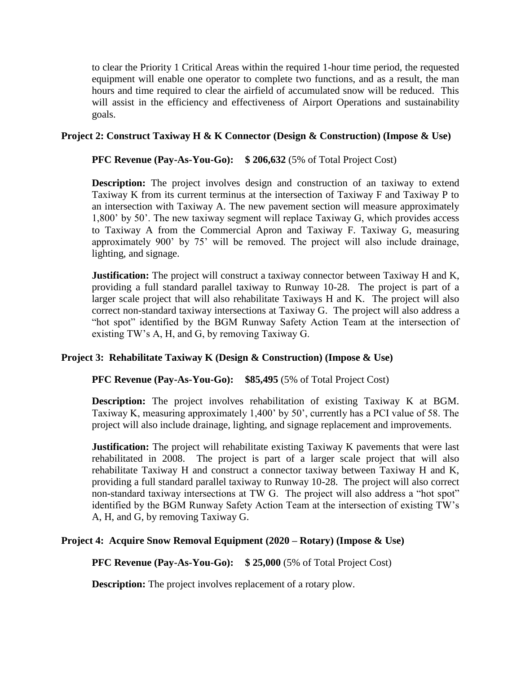to clear the Priority 1 Critical Areas within the required 1-hour time period, the requested equipment will enable one operator to complete two functions, and as a result, the man hours and time required to clear the airfield of accumulated snow will be reduced. This will assist in the efficiency and effectiveness of Airport Operations and sustainability goals.

## **Project 2: Construct Taxiway H & K Connector (Design & Construction) (Impose & Use)**

**PFC Revenue (Pay-As-You-Go):** \$206,632 (5% of Total Project Cost)

**Description:** The project involves design and construction of an taxiway to extend Taxiway K from its current terminus at the intersection of Taxiway F and Taxiway P to an intersection with Taxiway A. The new pavement section will measure approximately 1,800' by 50'. The new taxiway segment will replace Taxiway G, which provides access to Taxiway A from the Commercial Apron and Taxiway F. Taxiway G, measuring approximately 900' by 75' will be removed. The project will also include drainage, lighting, and signage.

**Justification:** The project will construct a taxiway connector between Taxiway H and K, providing a full standard parallel taxiway to Runway 10-28. The project is part of a larger scale project that will also rehabilitate Taxiways H and K. The project will also correct non-standard taxiway intersections at Taxiway G. The project will also address a "hot spot" identified by the BGM Runway Safety Action Team at the intersection of existing TW's A, H, and G, by removing Taxiway G.

# **Project 3: Rehabilitate Taxiway K (Design & Construction) (Impose & Use)**

**PFC Revenue (Pay-As-You-Go):** \$85,495 (5% of Total Project Cost)

**Description:** The project involves rehabilitation of existing Taxiway K at BGM. Taxiway K, measuring approximately 1,400' by 50', currently has a PCI value of 58. The project will also include drainage, lighting, and signage replacement and improvements.

**Justification:** The project will rehabilitate existing Taxiway K pavements that were last rehabilitated in 2008. The project is part of a larger scale project that will also rehabilitate Taxiway H and construct a connector taxiway between Taxiway H and K, providing a full standard parallel taxiway to Runway 10-28. The project will also correct non-standard taxiway intersections at TW G. The project will also address a "hot spot" identified by the BGM Runway Safety Action Team at the intersection of existing TW's A, H, and G, by removing Taxiway G.

### **Project 4: Acquire Snow Removal Equipment (2020 – Rotary) (Impose & Use)**

**PFC Revenue (Pay-As-You-Go): \$ 25,000** (5% of Total Project Cost)

**Description:** The project involves replacement of a rotary plow.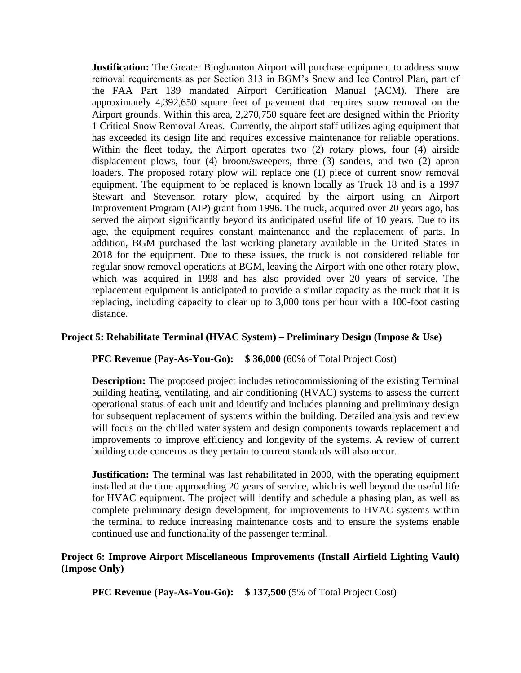**Justification:** The Greater Binghamton Airport will purchase equipment to address snow removal requirements as per Section 313 in BGM's Snow and Ice Control Plan, part of the FAA Part 139 mandated Airport Certification Manual (ACM). There are approximately 4,392,650 square feet of pavement that requires snow removal on the Airport grounds. Within this area, 2,270,750 square feet are designed within the Priority 1 Critical Snow Removal Areas. Currently, the airport staff utilizes aging equipment that has exceeded its design life and requires excessive maintenance for reliable operations. Within the fleet today, the Airport operates two (2) rotary plows, four (4) airside displacement plows, four (4) broom/sweepers, three (3) sanders, and two (2) apron loaders. The proposed rotary plow will replace one (1) piece of current snow removal equipment. The equipment to be replaced is known locally as Truck 18 and is a 1997 Stewart and Stevenson rotary plow, acquired by the airport using an Airport Improvement Program (AIP) grant from 1996. The truck, acquired over 20 years ago, has served the airport significantly beyond its anticipated useful life of 10 years. Due to its age, the equipment requires constant maintenance and the replacement of parts. In addition, BGM purchased the last working planetary available in the United States in 2018 for the equipment. Due to these issues, the truck is not considered reliable for regular snow removal operations at BGM, leaving the Airport with one other rotary plow, which was acquired in 1998 and has also provided over 20 years of service. The replacement equipment is anticipated to provide a similar capacity as the truck that it is replacing, including capacity to clear up to 3,000 tons per hour with a 100-foot casting distance.

### **Project 5: Rehabilitate Terminal (HVAC System) – Preliminary Design (Impose & Use)**

### **PFC Revenue (Pay-As-You-Go): \$ 36,000** (60% of Total Project Cost)

**Description:** The proposed project includes retrocommissioning of the existing Terminal building heating, ventilating, and air conditioning (HVAC) systems to assess the current operational status of each unit and identify and includes planning and preliminary design for subsequent replacement of systems within the building. Detailed analysis and review will focus on the chilled water system and design components towards replacement and improvements to improve efficiency and longevity of the systems. A review of current building code concerns as they pertain to current standards will also occur.

**Justification:** The terminal was last rehabilitated in 2000, with the operating equipment installed at the time approaching 20 years of service, which is well beyond the useful life for HVAC equipment. The project will identify and schedule a phasing plan, as well as complete preliminary design development, for improvements to HVAC systems within the terminal to reduce increasing maintenance costs and to ensure the systems enable continued use and functionality of the passenger terminal.

### **Project 6: Improve Airport Miscellaneous Improvements (Install Airfield Lighting Vault) (Impose Only)**

**PFC Revenue (Pay-As-You-Go): \$ 137,500** (5% of Total Project Cost)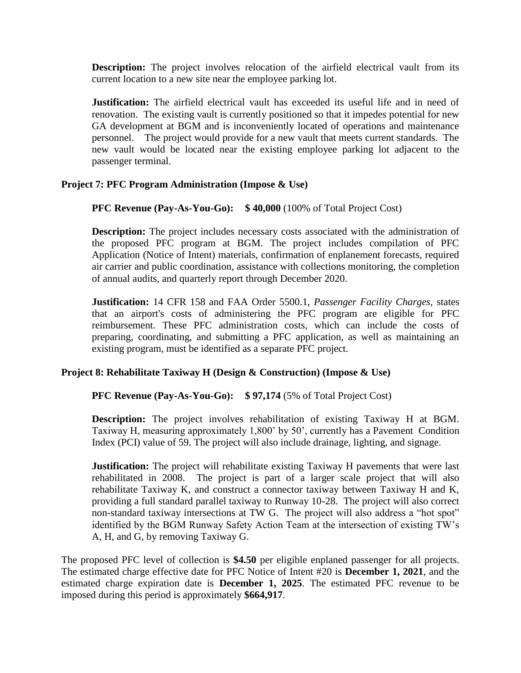**Description:** The project involves relocation of the airfield electrical vault from its current location to a new site near the employee parking lot.

**Justification:** The airfield electrical vault has exceeded its useful life and in need of renovation. The existing vault is currently positioned so that it impedes potential for new GA development at BGM and is inconveniently located of operations and maintenance personnel. The project would provide for a new vault that meets current standards. The new vault would be located near the existing employee parking lot adjacent to the passenger terminal.

## **Project 7: PFC Program Administration (Impose & Use)**

**PFC Revenue (Pay-As-You-Go):** \$40,000 (100% of Total Project Cost)

**Description:** The project includes necessary costs associated with the administration of the proposed PFC program at BGM. The project includes compilation of PFC Application (Notice of Intent) materials, confirmation of enplanement forecasts, required air carrier and public coordination, assistance with collections monitoring, the completion of annual audits, and quarterly report through December 2020.

**Justification:** 14 CFR 158 and FAA Order 5500.1, *Passenger Facility Charges,* states that an airport's costs of administering the PFC program are eligible for PFC reimbursement. These PFC administration costs, which can include the costs of preparing, coordinating, and submitting a PFC application, as well as maintaining an existing program, must be identified as a separate PFC project.

### **Project 8: Rehabilitate Taxiway H (Design & Construction) (Impose & Use)**

### **PFC Revenue (Pay-As-You-Go): \$ 97,174** (5% of Total Project Cost)

**Description:** The project involves rehabilitation of existing Taxiway H at BGM. Taxiway H, measuring approximately 1,800' by 50', currently has a Pavement Condition Index (PCI) value of 59. The project will also include drainage, lighting, and signage.

**Justification:** The project will rehabilitate existing Taxiway H pavements that were last rehabilitated in 2008. The project is part of a larger scale project that will also rehabilitate Taxiway K, and construct a connector taxiway between Taxiway H and K, providing a full standard parallel taxiway to Runway 10-28. The project will also correct non-standard taxiway intersections at TW G. The project will also address a "hot spot" identified by the BGM Runway Safety Action Team at the intersection of existing TW's A, H, and G, by removing Taxiway G.

The proposed PFC level of collection is **\$4.50** per eligible enplaned passenger for all projects. The estimated charge effective date for PFC Notice of Intent #20 is **December 1, 2021**, and the estimated charge expiration date is **December 1, 2025**. The estimated PFC revenue to be imposed during this period is approximately **\$664,917**.